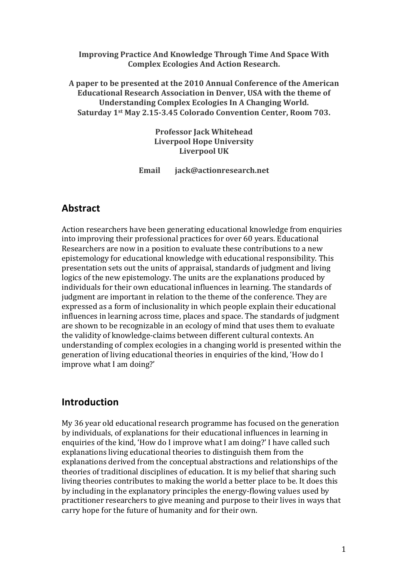**Improving Practice And Knowledge Through Time And Space With Complex Ecologies And Action Research.** 

A paper to be presented at the 2010 Annual Conference of the American Educational Research Association in Denver, USA with the theme of **Understanding Complex Ecologies In A Changing World.** Saturday 1<sup>st</sup> May 2.15-3.45 Colorado Convention Center, Room 703.

> **Professor Jack Whitehead** Liverpool Hope University **Liverpool\*UK**

Email jack@actionresearch.net

# **Abstract**

Action researchers have been generating educational knowledge from enquiries into improving their professional practices for over 60 years. Educational Researchers are now in a position to evaluate these contributions to a new epistemology for educational knowledge with educational responsibility. This presentation sets out the units of appraisal, standards of judgment and living logics of the new epistemology. The units are the explanations produced by individuals for their own educational influences in learning. The standards of judgment are important in relation to the theme of the conference. They are expressed as a form of inclusionality in which people explain their educational influences in learning across time, places and space. The standards of judgment are shown to be recognizable in an ecology of mind that uses them to evaluate the validity of knowledge-claims between different cultural contexts. An understanding of complex ecologies in a changing world is presented within the generation of living educational theories in enquiries of the kind, 'How do I improve what I am doing?'

# **Introduction**

My 36 year old educational research programme has focused on the generation by individuals, of explanations for their educational influences in learning in enquiries of the kind, 'How do I improve what I am doing?' I have called such explanations living educational theories to distinguish them from the explanations derived from the conceptual abstractions and relationships of the theories of traditional disciplines of education. It is my belief that sharing such living theories contributes to making the world a better place to be. It does this by including in the explanatory principles the energy-flowing values used by practitioner researchers to give meaning and purpose to their lives in ways that carry hope for the future of humanity and for their own.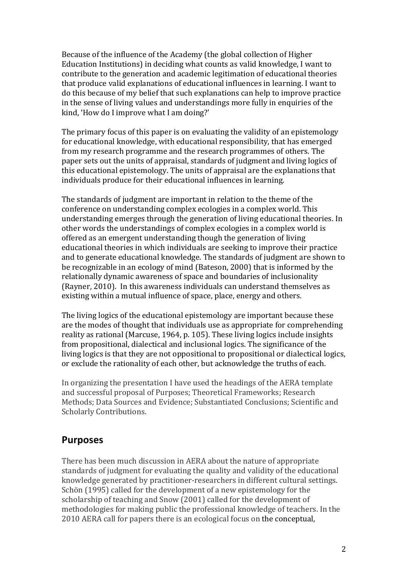Because of the influence of the Academy (the global collection of Higher Education Institutions) in deciding what counts as valid knowledge, I want to contribute to the generation and academic legitimation of educational theories that produce valid explanations of educational influences in learning. I want to do this because of my belief that such explanations can help to improve practice in the sense of living values and understandings more fully in enquiries of the kind, 'How do I improve what I am doing?'

The primary focus of this paper is on evaluating the validity of an epistemology for educational knowledge, with educational responsibility, that has emerged from my research programme and the research programmes of others. The paper sets out the units of appraisal, standards of judgment and living logics of this educational epistemology. The units of appraisal are the explanations that individuals produce for their educational influences in learning.

The standards of judgment are important in relation to the theme of the conference on understanding complex ecologies in a complex world. This understanding emerges through the generation of living educational theories. In other words the understandings of complex ecologies in a complex world is offered as an emergent understanding though the generation of living educational theories in which individuals are seeking to improve their practice and to generate educational knowledge. The standards of judgment are shown to be recognizable in an ecology of mind (Bateson, 2000) that is informed by the relationally dynamic awareness of space and boundaries of inclusionality (Rayner, 2010). In this awareness individuals can understand themselves as existing within a mutual influence of space, place, energy and others.

The living logics of the educational epistemology are important because these are the modes of thought that individuals use as appropriate for comprehending reality as rational (Marcuse, 1964, p. 105). These living logics include insights from propositional, dialectical and inclusional logics. The significance of the living logics is that they are not oppositional to propositional or dialectical logics, or exclude the rationality of each other, but acknowledge the truths of each.

In organizing the presentation I have used the headings of the AERA template and successful proposal of Purposes; Theoretical Frameworks; Research Methods: Data Sources and Evidence: Substantiated Conclusions: Scientific and Scholarly Contributions.

### **Purposes**

There has been much discussion in AERA about the nature of appropriate standards of judgment for evaluating the quality and validity of the educational knowledge generated by practitioner-researchers in different cultural settings. Schön (1995) called for the development of a new epistemology for the scholarship of teaching and Snow (2001) called for the development of methodologies for making public the professional knowledge of teachers. In the 2010 AERA call for papers there is an ecological focus on the conceptual,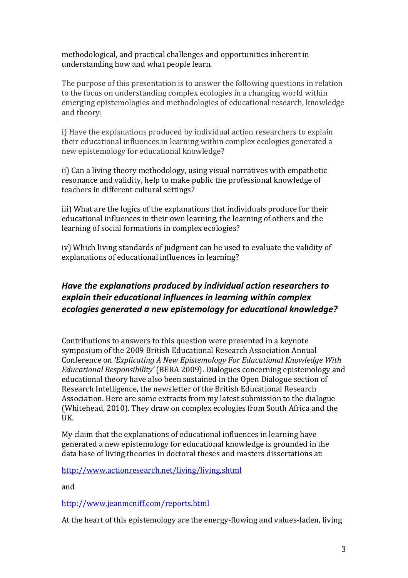methodological, and practical challenges and opportunities inherent in understanding how and what people learn.

The purpose of this presentation is to answer the following questions in relation to the focus on understanding complex ecologies in a changing world within emerging epistemologies and methodologies of educational research, knowledge and theory:

i) Have the explanations produced by individual action researchers to explain their educational influences in learning within complex ecologies generated a new epistemology for educational knowledge?

ii) Can a living theory methodology, using visual narratives with empathetic resonance and validity, help to make public the professional knowledge of teachers in different cultural settings?

iii) What are the logics of the explanations that individuals produce for their educational influences in their own learning, the learning of others and the learning of social formations in complex ecologies?

iv) Which living standards of judgment can be used to evaluate the validity of explanations of educational influences in learning?

# *Have%the%explanations%produced%by%individual%action%researchers%to%* explain their educational influences in learning within complex *ecologies%generated%a%new%epistemology%for%educational%knowledge?*

Contributions to answers to this question were presented in a keynote symposium of the 2009 British Educational Research Association Annual Conference on *'Explicating A New Epistemology For Educational Knowledge With Educational Responsibility'* (BERA 2009). Dialogues concerning epistemology and educational theory have also been sustained in the Open Dialogue section of Research Intelligence, the newsletter of the British Educational Research Association. Here are some extracts from my latest submission to the dialogue (Whitehead, 2010). They draw on complex ecologies from South Africa and the UK.

My claim that the explanations of educational influences in learning have generated a new epistemology for educational knowledge is grounded in the data base of living theories in doctoral theses and masters dissertations at:

http://www.actionresearch.net/living/living.shtml

and

http://www.jeanmcniff.com/reports.html

At the heart of this epistemology are the energy-flowing and values-laden, living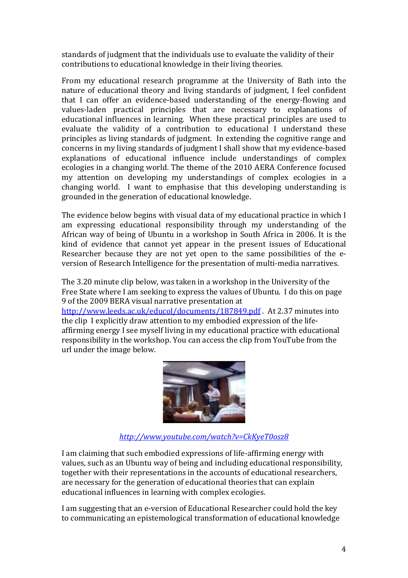standards of judgment that the individuals use to evaluate the validity of their contributions to educational knowledge in their living theories.

From my educational research programme at the University of Bath into the nature of educational theory and living standards of judgment, I feel confident that I can offer an evidence-based understanding of the energy-flowing and values-laden practical principles that are necessary to explanations of educational influences in learning. When these practical principles are used to evaluate the validity of a contribution to educational I understand these principles as living standards of judgment. In extending the cognitive range and concerns in my living standards of judgment I shall show that my evidence-based explanations of educational influence include understandings of complex ecologies in a changing world. The theme of the 2010 AERA Conference focused my attention on developing my understandings of complex ecologies in a changing world. I want to emphasise that this developing understanding is grounded in the generation of educational knowledge.

The evidence below begins with visual data of my educational practice in which I am expressing educational responsibility through my understanding of the African way of being of Ubuntu in a workshop in South Africa in 2006. It is the kind of evidence that cannot yet appear in the present issues of Educational Researcher because they are not vet open to the same possibilities of the eversion of Research Intelligence for the presentation of multi-media narratives.

The 3.20 minute clip below, was taken in a workshop in the University of the Free State where I am seeking to express the values of Ubuntu. I do this on page 9 of the 2009 BERA visual narrative presentation at

http://www.leeds.ac.uk/educol/documents/187849.pdf . At 2.37 minutes into the clip I explicitly draw attention to my embodied expression of the lifeaffirming energy I see myself living in my educational practice with educational responsibility in the workshop. You can access the clip from YouTube from the url under the image below.



*http://www.youtube.com/watch?v=CkKyeT0osz8*

I am claiming that such embodied expressions of life-affirming energy with values, such as an Ubuntu way of being and including educational responsibility, together with their representations in the accounts of educational researchers, are necessary for the generation of educational theories that can explain educational influences in learning with complex ecologies.

I am suggesting that an e-version of Educational Researcher could hold the key to communicating an epistemological transformation of educational knowledge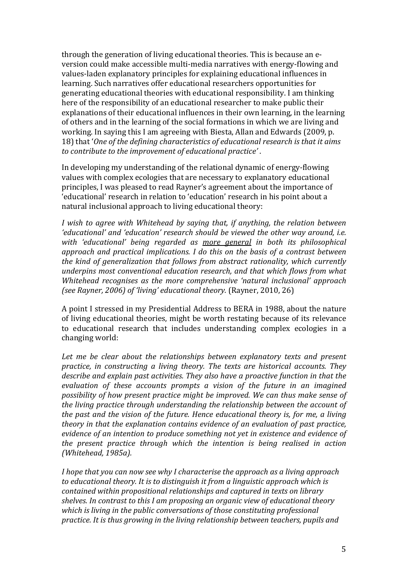through the generation of living educational theories. This is because an eversion could make accessible multi-media narratives with energy-flowing and values-laden explanatory principles for explaining educational influences in learning. Such narratives offer educational researchers opportunities for generating educational theories with educational responsibility. I am thinking here of the responsibility of an educational researcher to make public their explanations of their educational influences in their own learning, in the learning of others and in the learning of the social formations in which we are living and working. In saying this I am agreeing with Biesta, Allan and Edwards (2009, p. 18) that '*One of the defining characteristics of educational research is that it aims* to contribute to the improvement of educational practice'.

In developing my understanding of the relational dynamic of energy-flowing values with complex ecologies that are necessary to explanatory educational principles, I was pleased to read Rayner's agreement about the importance of 'educational' research in relation to 'education' research in his point about a natural inclusional approach to living educational theory:

*I*, wish to agree with, Whitehead, by saying that, if anything, the relation between 'educational' and 'education' research should be viewed the other way around, i.e. *with, 'educational', being, regarded, as, more, general, in, both, its, philosophical, approach, and, practical,implications., I, do, this, on, the, basis, of, a, contrast, between, the,kind, of, generalization, that,follows,from, abstract, rationality,,which, currently, underpins most conventional education research, and that which flows from what Whitehead recognises as the more comprehensive 'natural inclusional' approach (see Rayner, 2006) of 'living' educational theory.* (Rayner, 2010, 26)

A point I stressed in my Presidential Address to BERA in 1988, about the nature of living educational theories, might be worth restating because of its relevance to educational research that includes understanding complex ecologies in a changing world:

Let me, be, clear, about, the, relationships, between, explanatory, texts, and, present, *practice, in constructing a living theory. The texts are historical accounts. They* describe and explain past activities. They also have a proactive function in that the *evaluation, of, these, accounts, prompts, a, vision, of, the, future, in, an, imagined, possibility,of,how,present,practice,might,be,improved.,We,can,thus,make,sense,of, the,living,practice,through,understanding,the,relationship,between,the,account,of the past and the vision of the future. Hence educational theory is, for me, a living theory in that the explanation contains evidence of an evaluation of past practice, evidence of an intention to produce something not yet in existence and evidence of the, present, practice, through, which, the, intention, is, being, realised, in, action, (Whitehead,,1985a).*

*I, hope that you, can, now, see, why, I, characterise, the, approach, as, a, living, approach* to educational theory. It is to distinguish it from a linguistic approach which is *contained within propositional relationships and captured in texts on library shelves. In contrast to this I am proposing an organic view of educational theory* which is living in the public conversations of those constituting professional *practice. It is thus growing in the living relationship between teachers, pupils and*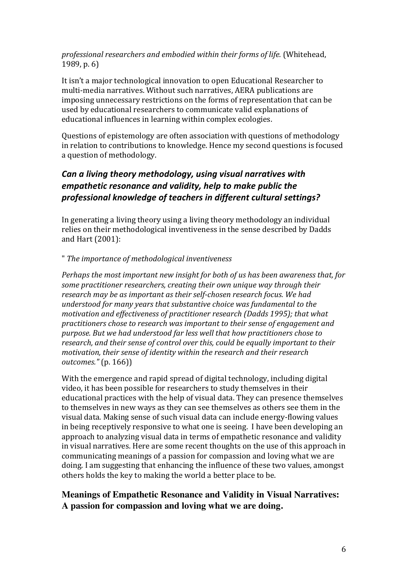*professional researchers and embodied within their forms of life.* (Whitehead, 1989, p. 6)

It isn't a major technological innovation to open Educational Researcher to multi-media narratives. Without such narratives, AERA publications are imposing unnecessary restrictions on the forms of representation that can be used by educational researchers to communicate valid explanations of educational influences in learning within complex ecologies.

Questions of epistemology are often association with questions of methodology in relation to contributions to knowledge. Hence my second questions is focused a question of methodology.

# Can a living theory methodology, using visual narratives with empathetic resonance and validity, help to make public the *professional%knowledge%of%teachers%in%different%cultural%settings?*

In generating a living theory using a living theory methodology an individual relies on their methodological inventiveness in the sense described by Dadds and Hart (2001):

#### "!*The,importance,of,methodological,inventiveness*

*Perhaps, the most important new insight for both of us has been awareness that, for some, practitioner, researchers, creating, their, own, unique, way, through, their* research may be as important as their self-chosen research focus. We had *understood for many years that substantive choice was fundamental to the motivation and effectiveness of practitioner research (Dadds 1995); that what practitioners chose to research was important to their sense of engagement and purpose.,But,we,had,understood,far,less,well,that,how,practitioners,chose,to, research, and their sense of control over this, could be equally important to their motivation, their sense of identity within the research and their research outcomes."* (p. 166))

With the emergence and rapid spread of digital technology, including digital video, it has been possible for researchers to study themselves in their educational practices with the help of visual data. They can presence themselves to themselves in new ways as they can see themselves as others see them in the visual data. Making sense of such visual data can include energy-flowing values in being receptively responsive to what one is seeing. I have been developing an approach to analyzing visual data in terms of empathetic resonance and validity in visual narratives. Here are some recent thoughts on the use of this approach in communicating meanings of a passion for compassion and loving what we are doing. I am suggesting that enhancing the influence of these two values, amongst others holds the key to making the world a better place to be.

### **Meanings of Empathetic Resonance and Validity in Visual Narratives: A passion for compassion and loving what we are doing.**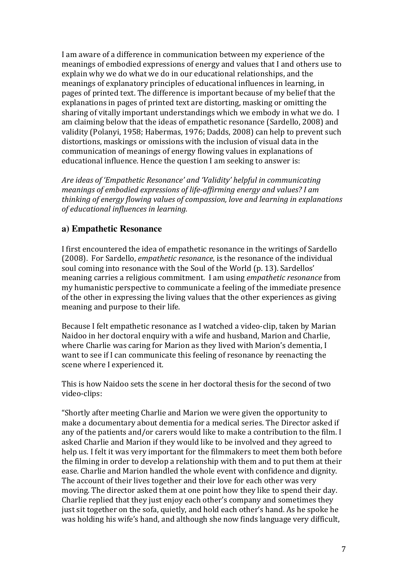I am aware of a difference in communication between my experience of the meanings of embodied expressions of energy and values that I and others use to explain why we do what we do in our educational relationships, and the meanings of explanatory principles of educational influences in learning, in pages of printed text. The difference is important because of my belief that the explanations in pages of printed text are distorting, masking or omitting the sharing of vitally important understandings which we embody in what we do. I am claiming below that the ideas of empathetic resonance (Sardello, 2008) and validity (Polanyi, 1958; Habermas, 1976; Dadds, 2008) can help to prevent such distortions, maskings or omissions with the inclusion of visual data in the communication of meanings of energy flowing values in explanations of educational influence. Hence the question I am seeking to answer is:

Are *ideas of 'Empathetic Resonance' and 'Validity' helpful in communicating meanings of embodied expressions of life-affirming energy and values? I am thinking,of,energy,flowing,values,of,compassion,,love,and,learning,in,explanations,*  $of$ *educational* influences in learning.

### **a) Empathetic Resonance**

I first encountered the idea of empathetic resonance in the writings of Sardello (2008). For Sardello, *empathetic resonance*, is the resonance of the individual soul coming into resonance with the Soul of the World (p. 13). Sardellos' meaning carries a religious commitment. I am using *empathetic resonance* from my humanistic perspective to communicate a feeling of the immediate presence of the other in expressing the living values that the other experiences as giving meaning and purpose to their life.

Because I felt empathetic resonance as I watched a video-clip, taken by Marian Naidoo in her doctoral enquiry with a wife and husband, Marion and Charlie, where Charlie was caring for Marion as they lived with Marion's dementia, I want to see if I can communicate this feeling of resonance by reenacting the scene where I experienced it.

This is how Naidoo sets the scene in her doctoral thesis for the second of two video-clips:

"Shortly after meeting Charlie and Marion we were given the opportunity to make a documentary about dementia for a medical series. The Director asked if any of the patients and/or carers would like to make a contribution to the film. I asked Charlie and Marion if they would like to be involved and they agreed to help us. I felt it was very important for the filmmakers to meet them both before the filming in order to develop a relationship with them and to put them at their ease. Charlie and Marion handled the whole event with confidence and dignity. The account of their lives together and their love for each other was very moving. The director asked them at one point how they like to spend their day. Charlie replied that they just enjoy each other's company and sometimes they just sit together on the sofa, quietly, and hold each other's hand. As he spoke he was holding his wife's hand, and although she now finds language very difficult,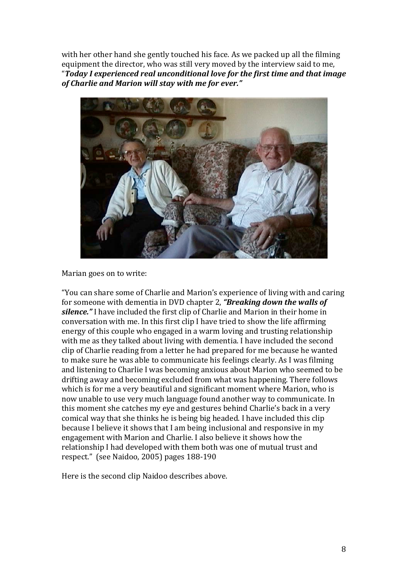with her other hand she gently touched his face. As we packed up all the filming equipment the director, who was still very moved by the interview said to me, "*Today&I&experienced&real&unconditional&love&for&the&first&time&and&that&image& of Charlie and Marion will stay with me for ever."* 



Marian goes on to write:

"You can share some of Charlie and Marion's experience of living with and caring for someone with dementia in DVD chapter 2, "**Breaking down the walls of silence.**" I have included the first clip of Charlie and Marion in their home in conversation with me. In this first clip I have tried to show the life affirming energy of this couple who engaged in a warm loving and trusting relationship with me as they talked about living with dementia. I have included the second clip of Charlie reading from a letter he had prepared for me because he wanted to make sure he was able to communicate his feelings clearly. As I was filming and listening to Charlie I was becoming anxious about Marion who seemed to be drifting away and becoming excluded from what was happening. There follows which is for me a very beautiful and significant moment where Marion, who is now unable to use very much language found another way to communicate. In this moment she catches my eye and gestures behind Charlie's back in a very comical way that she thinks he is being big headed. I have included this clip because I believe it shows that I am being inclusional and responsive in my engagement with Marion and Charlie. I also believe it shows how the relationship I had developed with them both was one of mutual trust and respect." (see Naidoo, 2005) pages 188-190

Here is the second clip Naidoo describes above.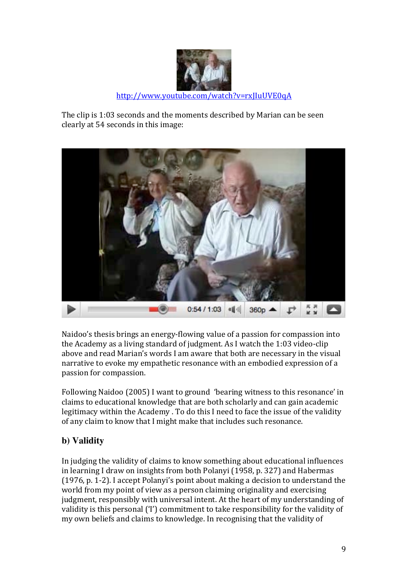

http://www.youtube.com/watch?v=rxJIuUVE0qA

The clip is 1:03 seconds and the moments described by Marian can be seen clearly at 54 seconds in this image:



Naidoo's thesis brings an energy-flowing value of a passion for compassion into the Academy as a living standard of judgment. As I watch the 1:03 video-clip above and read Marian's words I am aware that both are necessary in the visual narrative to evoke my empathetic resonance with an embodied expression of a passion for compassion.

Following Naidoo (2005) I want to ground 'bearing witness to this resonance' in claims to educational knowledge that are both scholarly and can gain academic legitimacy within the Academy. To do this I need to face the issue of the validity of any claim to know that I might make that includes such resonance.

# **b) Validity**

In judging the validity of claims to know something about educational influences in learning I draw on insights from both Polanyi (1958, p. 327) and Habermas (1976, p. 1-2). I accept Polanyi's point about making a decision to understand the world from my point of view as a person claiming originality and exercising judgment, responsibly with universal intent. At the heart of my understanding of validity is this personal ('I') commitment to take responsibility for the validity of my own beliefs and claims to knowledge. In recognising that the validity of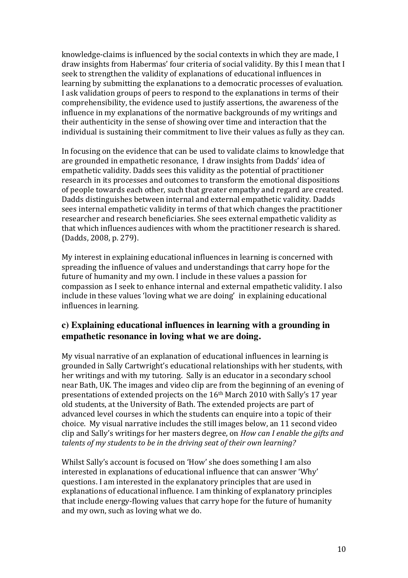knowledge-claims is influenced by the social contexts in which they are made, I draw insights from Habermas' four criteria of social validity. By this I mean that I seek to strengthen the validity of explanations of educational influences in learning by submitting the explanations to a democratic processes of evaluation. I ask validation groups of peers to respond to the explanations in terms of their comprehensibility, the evidence used to justify assertions, the awareness of the influence in my explanations of the normative backgrounds of my writings and their authenticity in the sense of showing over time and interaction that the individual is sustaining their commitment to live their values as fully as they can.

In focusing on the evidence that can be used to validate claims to knowledge that are grounded in empathetic resonance, I draw insights from Dadds' idea of empathetic validity. Dadds sees this validity as the potential of practitioner research in its processes and outcomes to transform the emotional dispositions of people towards each other, such that greater empathy and regard are created. Dadds distinguishes between internal and external empathetic validity. Dadds sees internal empathetic validity in terms of that which changes the practitioner researcher and research beneficiaries. She sees external empathetic validity as that which influences audiences with whom the practitioner research is shared. (Dadds, 2008, p. 279).

My interest in explaining educational influences in learning is concerned with spreading the influence of values and understandings that carry hope for the future of humanity and my own. I include in these values a passion for compassion as I seek to enhance internal and external empathetic validity. I also include in these values 'loving what we are doing' in explaining educational influences in learning.

#### **c) Explaining educational influences in learning with a grounding in empathetic resonance in loving what we are doing.**

My visual narrative of an explanation of educational influences in learning is grounded in Sally Cartwright's educational relationships with her students, with her writings and with my tutoring. Sally is an educator in a secondary school near Bath, UK. The images and video clip are from the beginning of an evening of presentations of extended projects on the 16<sup>th</sup> March 2010 with Sally's 17 year old students, at the University of Bath. The extended projects are part of advanced level courses in which the students can enquire into a topic of their choice. My visual narrative includes the still images below, an 11 second video clip and Sally's writings for her masters degree, on *How can I enable the gifts and* talents of my students to be in the driving seat of their own learning?

Whilst Sally's account is focused on 'How' she does something I am also interested in explanations of educational influence that can answer 'Why' questions. I am interested in the explanatory principles that are used in explanations of educational influence. I am thinking of explanatory principles that include energy-flowing values that carry hope for the future of humanity and my own, such as loving what we do.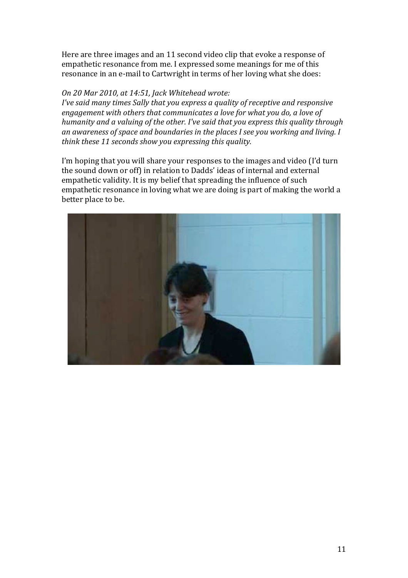Here are three images and an 11 second video clip that evoke a response of empathetic resonance from me. I expressed some meanings for me of this resonance in an e-mail to Cartwright in terms of her loving what she does:

#### *On,20,Mar,2010,,at,14:51,,Jack,Whitehead,wrote:*

*I've said many times Sally that you express a quality of receptive and responsive* engagement with others that communicates a love for what you do, a love of *humanity and a valuing of the other. I've said that you express this quality through an,awareness,of,space,and,boundaries,in,the,places,I,see,you,working,and,living.,I, think,these,11,seconds,show,you,expressing,this,quality.*

I'm hoping that you will share your responses to the images and video (I'd turn the sound down or off) in relation to Dadds' ideas of internal and external empathetic validity. It is my belief that spreading the influence of such empathetic resonance in loving what we are doing is part of making the world a better place to be.

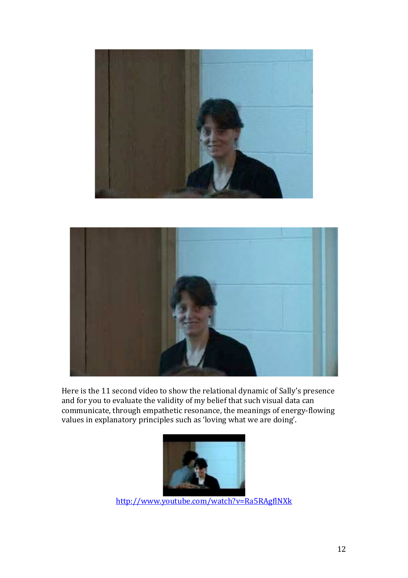



Here is the 11 second video to show the relational dynamic of Sally's presence and for you to evaluate the validity of my belief that such visual data can communicate, through empathetic resonance, the meanings of energy-flowing values in explanatory principles such as 'loving what we are doing'.



http://www.youtube.com/watch?v=Ra5RAgflNXk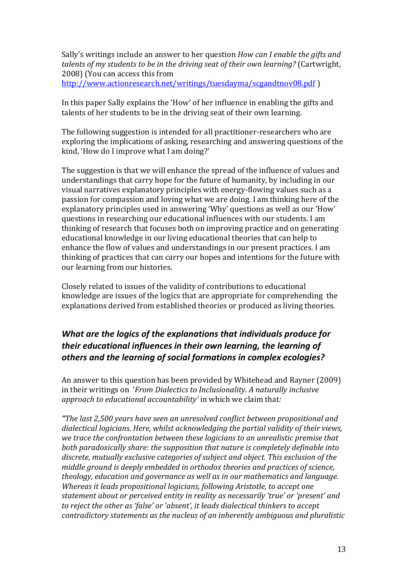Sally's writings include an answer to her question *How can I enable the gifts and talents of my students to be in the driving seat of their own learning?* (Cartwright, 2008) (You can access this from

http://www.actionresearch.net/writings/tuesdayma/scgandtnov08.pdf)

In this paper Sally explains the 'How' of her influence in enabling the gifts and talents of her students to be in the driving seat of their own learning.

The following suggestion is intended for all practitioner-researchers who are exploring the implications of asking, researching and answering questions of the kind, 'How do I improve what I am doing?'

The suggestion is that we will enhance the spread of the influence of values and understandings that carry hope for the future of humanity, by including in our visual narratives explanatory principles with energy-flowing values such as a passion for compassion and loving what we are doing. I am thinking here of the explanatory principles used in answering 'Why' questions as well as our 'How' questions in researching our educational influences with our students. I am thinking of research that focuses both on improving practice and on generating educational knowledge in our living educational theories that can help to enhance the flow of values and understandings in our present practices. I am thinking of practices that can carry our hopes and intentions for the future with our learning from our histories.

Closely related to issues of the validity of contributions to educational knowledge are issues of the logics that are appropriate for comprehending the explanations derived from established theories or produced as living theories.

## *What are the logics of the explanations that individuals produce for* their educational influences in their own learning, the learning of *others%and%the%learning%of%social%formations%in%complex%ecologies?*

An answer to this question has been provided by Whitehead and Rayner (2009). in!their!writings!on!!'*From,Dialectics,to,Inclusionality*.!*A,naturally,inclusive, approach to educational accountability'* in which we claim that:

*"The,last,2,500,years,have,seen,an,unresolved,conflict,between,propositional,and,* dialectical logicians. Here, whilst acknowledging the partial validity of their views, we trace, the confrontation between, these, logicians, to, an, unrealistic, premise, that, both paradoxically share: the supposition that nature is completely definable into discrete, mutually exclusive categories of subject and object. This exclusion of the *middle ground is deeply embedded in orthodox theories and practices of science, theology, education and governance as well as in our mathematics and language. Whereas it leads propositional logicians, following Aristotle, to accept one statement about or perceived entity in reality as necessarily 'true' or 'present' and* to reject the other as 'false' or 'absent', it leads dialectical thinkers to accept *contradictory,statements,as,the,nucleus,of,an,inherently,ambiguous,and,pluralistic,*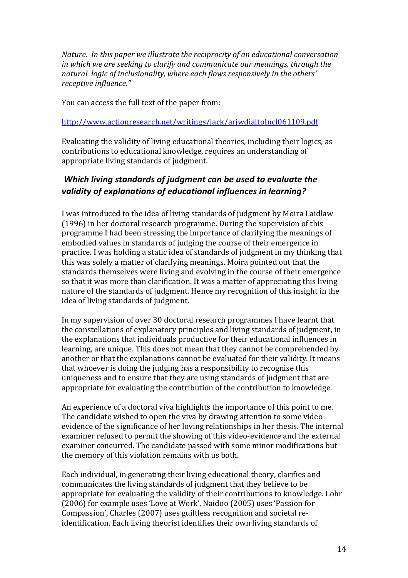*Nature. In this paper we,illustrate the reciprocity of an educational conversation in which we are seeking to clarify and communicate our meanings, through the natural, logic of inclusionality, where each flows responsively in the others' receptive influence."* 

You can access the full text of the paper from:

http://www.actionresearch.net/writings/jack/arjwdialtoIncl061109.pdf

Evaluating the validity of living educational theories, including their logics, as contributions to educational knowledge, requires an understanding of appropriate living standards of judgment.

## Which living standards of judgment can be used to evaluate the validity of explanations of educational influences in learning?

I was introduced to the idea of living standards of judgment by Moira Laidlaw  $(1996)$  in her doctoral research programme. During the supervision of this programme I had been stressing the importance of clarifying the meanings of embodied values in standards of judging the course of their emergence in practice. I was holding a static idea of standards of judgment in my thinking that this was solely a matter of clarifying meanings. Moira pointed out that the standards themselves were living and evolving in the course of their emergence so that it was more than clarification. It was a matter of appreciating this living nature of the standards of judgment. Hence my recognition of this insight in the idea of living standards of judgment.

In my supervision of over 30 doctoral research programmes I have learnt that the constellations of explanatory principles and living standards of judgment, in the explanations that individuals productive for their educational influences in learning, are unique. This does not mean that they cannot be comprehended by another or that the explanations cannot be evaluated for their validity. It means that whoever is doing the judging has a responsibility to recognise this uniqueness and to ensure that they are using standards of judgment that are appropriate for evaluating the contribution of the contribution to knowledge.

An experience of a doctoral viva highlights the importance of this point to me. The candidate wished to open the viva by drawing attention to some video evidence of the significance of her loving relationships in her thesis. The internal examiner refused to permit the showing of this video-evidence and the external examiner concurred. The candidate passed with some minor modifications but the memory of this violation remains with us both.

Each individual, in generating their living educational theory, clarifies and communicates the living standards of judgment that they believe to be appropriate for evaluating the validity of their contributions to knowledge. Lohr (2006) for example uses 'Love at Work', Naidoo (2005) uses 'Passion for Compassion', Charles (2007) uses guiltless recognition and societal reidentification. Each living theorist identifies their own living standards of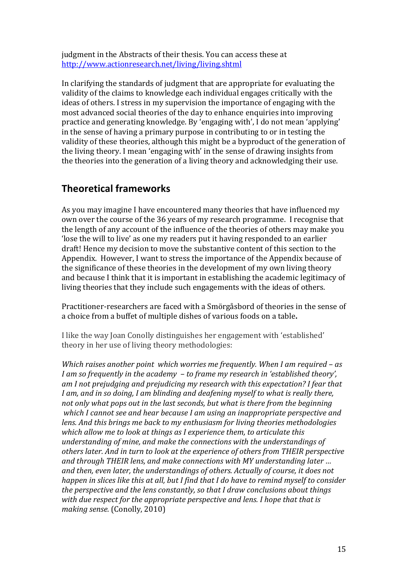judgment in the Abstracts of their thesis. You can access these at http://www.actionresearch.net/living/living.shtml

In clarifying the standards of judgment that are appropriate for evaluating the validity of the claims to knowledge each individual engages critically with the ideas of others. I stress in my supervision the importance of engaging with the most advanced social theories of the day to enhance enquiries into improving practice and generating knowledge. By 'engaging with', I do not mean 'applying' in the sense of having a primary purpose in contributing to or in testing the validity of these theories, although this might be a byproduct of the generation of the living theory. I mean 'engaging with' in the sense of drawing insights from the theories into the generation of a living theory and acknowledging their use.

# **Theoretical frameworks**

As you may imagine I have encountered many theories that have influenced my own over the course of the 36 years of my research programme. I recognise that the length of any account of the influence of the theories of others may make you 'lose the will to live' as one my readers put it having responded to an earlier draft! Hence my decision to move the substantive content of this section to the Appendix. However, I want to stress the importance of the Appendix because of the significance of these theories in the development of my own living theory and because I think that it is important in establishing the academic legitimacy of living theories that they include such engagements with the ideas of others.

Practitioner-researchers are faced with a Smörgåsbord of theories in the sense of a choice from a buffet of multiple dishes of various foods on a table.

I like the way Joan Conolly distinguishes her engagement with 'established' theory in her use of living theory methodologies:

*Which raises another point, which worries me frequently. When I am required – as I* am so frequently in the academy – to frame my research in 'established theory', *am,I,not,prejudging,and,prejudicing,my,research,with,this,expectation?Ifear,that*, *I* am, and in so doing, I am blinding and deafening myself to what is really there, *not,only, what,pops,out,in,the,last,seconds,,but,what,is,there,from,the,beginning, which I cannot see and hear because I am using an inappropriate perspective and lens. And this brings me back to my enthusiasm for living theories methodologies* which allow, me, to, look at things, as, I, experience, them, to, articulate, this *understanding of mine, and make the connections with the understandings of others later. And in turn to look at the experience of others from THEIR perspective* and through THEIR lens, and make connections with MY understanding later ... and then, even later, the understandings of others. Actually of course, it does not *happen in slices like this at all, but I find that I do have to remind myself to consider the,perspective,and,the,lens,constantly, so,that,I,draw,conclusions,about,things, with due respect for the appropriate perspective and lens. I hope that that is* making sense. (Conolly, 2010)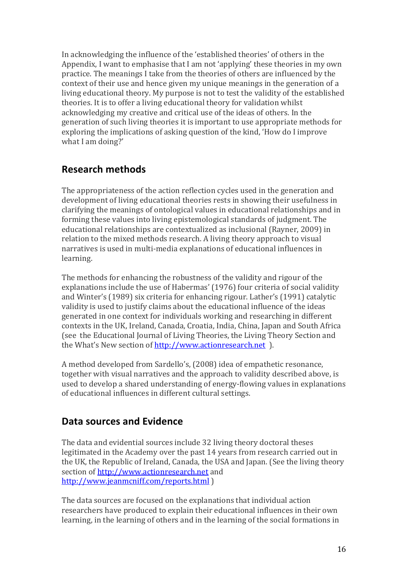In acknowledging the influence of the 'established theories' of others in the Appendix, I want to emphasise that I am not 'applying' these theories in my own practice. The meanings I take from the theories of others are influenced by the context of their use and hence given my unique meanings in the generation of a living educational theory. My purpose is not to test the validity of the established theories. It is to offer a living educational theory for validation whilst acknowledging my creative and critical use of the ideas of others. In the generation of such living theories it is important to use appropriate methods for exploring the implications of asking question of the kind, 'How do I improve what I am doing?'

# **Research methods**

The appropriateness of the action reflection cycles used in the generation and development of living educational theories rests in showing their usefulness in clarifying the meanings of ontological values in educational relationships and in forming these values into living epistemological standards of judgment. The educational relationships are contextualized as inclusional (Rayner, 2009) in relation to the mixed methods research. A living theory approach to visual narratives is used in multi-media explanations of educational influences in learning.

The methods for enhancing the robustness of the validity and rigour of the explanations include the use of Habermas' (1976) four criteria of social validity and Winter's (1989) six criteria for enhancing rigour. Lather's (1991) catalytic validity is used to justify claims about the educational influence of the ideas generated in one context for individuals working and researching in different contexts in the UK, Ireland, Canada, Croatia, India, China, Japan and South Africa (see the Educational Journal of Living Theories, the Living Theory Section and the What's New section of http://www.actionresearch.net ).

A method developed from Sardello's, (2008) idea of empathetic resonance, together with visual narratives and the approach to validity described above, is used to develop a shared understanding of energy-flowing values in explanations of educational influences in different cultural settings.

# **Data sources and Evidence**

The data and evidential sources include 32 living theory doctoral theses legitimated in the Academy over the past 14 years from research carried out in the UK, the Republic of Ireland, Canada, the USA and Japan. (See the living theory section of http://www.actionresearch.net and http://www.jeanmcniff.com/reports.html )

The data sources are focused on the explanations that individual action researchers have produced to explain their educational influences in their own learning, in the learning of others and in the learning of the social formations in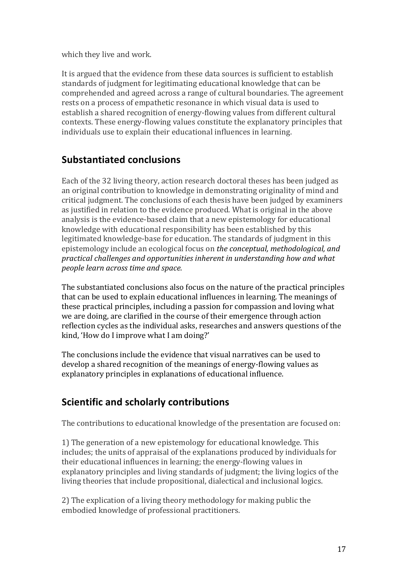which they live and work.

It is argued that the evidence from these data sources is sufficient to establish standards of judgment for legitimating educational knowledge that can be comprehended and agreed across a range of cultural boundaries. The agreement rests on a process of empathetic resonance in which visual data is used to establish a shared recognition of energy-flowing values from different cultural contexts. These energy-flowing values constitute the explanatory principles that individuals use to explain their educational influences in learning.

# **Substantiated conclusions**

Each of the 32 living theory, action research doctoral theses has been judged as an original contribution to knowledge in demonstrating originality of mind and critical judgment. The conclusions of each thesis have been judged by examiners as justified in relation to the evidence produced. What is original in the above analysis is the evidence-based claim that a new epistemology for educational knowledge with educational responsibility has been established by this legitimated knowledge-base for education. The standards of judgment in this epistemology include an ecological focus on *the conceptual, methodological, and practical challenges and opportunities inherent in understanding how and what people,learn,across,time,and,space.*

The substantiated conclusions also focus on the nature of the practical principles that can be used to explain educational influences in learning. The meanings of these practical principles, including a passion for compassion and loving what we are doing, are clarified in the course of their emergence through action reflection cycles as the individual asks, researches and answers questions of the kind. 'How do I improve what I am doing?'

The conclusions include the evidence that visual narratives can be used to develop a shared recognition of the meanings of energy-flowing values as explanatory principles in explanations of educational influence.

# **Scientific and scholarly contributions**

The contributions to educational knowledge of the presentation are focused on:

1) The generation of a new epistemology for educational knowledge. This includes; the units of appraisal of the explanations produced by individuals for their educational influences in learning; the energy-flowing values in explanatory principles and living standards of judgment; the living logics of the living theories that include propositional, dialectical and inclusional logics.

2) The explication of a living theory methodology for making public the embodied knowledge of professional practitioners.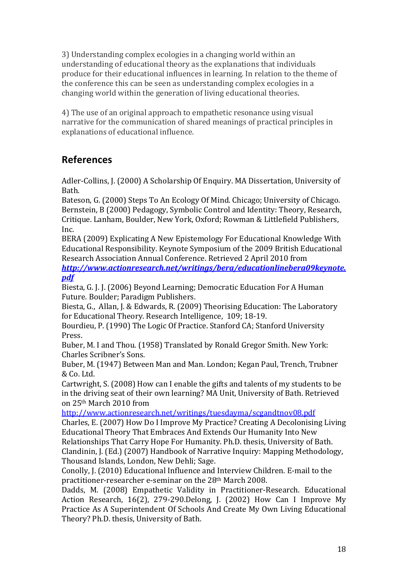3) Understanding complex ecologies in a changing world within an understanding of educational theory as the explanations that individuals produce for their educational influences in learning. In relation to the theme of the conference this can be seen as understanding complex ecologies in a changing world within the generation of living educational theories.

4) The use of an original approach to empathetic resonance using visual narrative for the communication of shared meanings of practical principles in explanations of educational influence.

# **References(**

Adler-Collins, J. (2000) A Scholarship Of Enquiry. MA Dissertation, University of Bath.

Bateson, G. (2000) Steps To An Ecology Of Mind. Chicago: University of Chicago. Bernstein, B (2000) Pedagogy, Symbolic Control and Identity: Theory, Research, Critique. Lanham, Boulder, New York, Oxford; Rowman & Littlefield Publishers, Inc.

BERA (2009) Explicating A New Epistemology For Educational Knowledge With Educational Responsibility. Keynote Symposium of the 2009 British Educational Research Association Annual Conference. Retrieved 2 April 2010 from

*http://www.actionresearch.net/writings/bera/educationlinebera09keynote. pdf*

Biesta, G. J. J. (2006) Beyond Learning; Democratic Education For A Human Future. Boulder; Paradigm Publishers.

Biesta, G., Allan, J. & Edwards, R. (2009) Theorising Education: The Laboratory for Educational Theory. Research Intelligence, 109; 18-19.

Bourdieu, P. (1990) The Logic Of Practice. Stanford CA; Stanford University Press.

Buber, M. I and Thou. (1958) Translated by Ronald Gregor Smith. New York: Charles Scribner's Sons.

Buber, M. (1947) Between Man and Man. London: Kegan Paul, Trench, Trubner & Co. Ltd.

Cartwright, S. (2008) How can I enable the gifts and talents of my students to be in the driving seat of their own learning? MA Unit, University of Bath. Retrieved on 25<sup>th</sup> March 2010 from

http://www.actionresearch.net/writings/tuesdayma/scgandtnov08.pdf Charles, E. (2007) How Do I Improve My Practice? Creating A Decolonising Living Educational Theory That Embraces And Extends Our Humanity Into New Relationships That Carry Hope For Humanity. Ph.D. thesis, University of Bath. Clandinin, J. (Ed.) (2007) Handbook of Narrative Inquiry: Mapping Methodology,

Thousand Islands, London, New Dehli; Sage.

Conolly, J. (2010) Educational Influence and Interview Children. E-mail to the practitioner-researcher e-seminar on the 28<sup>th</sup> March 2008.

Dadds, M. (2008) Empathetic Validity in Practitioner-Research. Educational Action Research,  $16(2)$ , 279-290.Delong, J.  $(2002)$  How Can I Improve My Practice As A Superintendent Of Schools And Create My Own Living Educational Theory? Ph.D. thesis, University of Bath.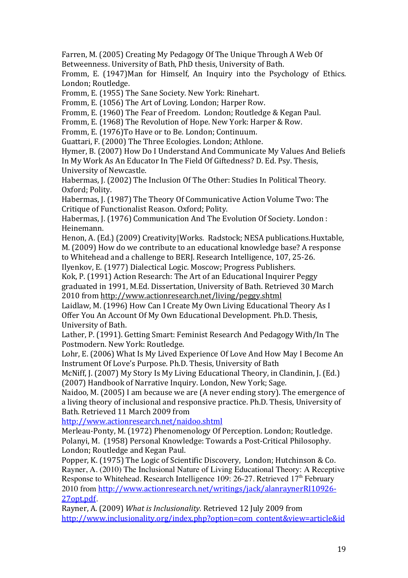Farren, M. (2005) Creating My Pedagogy Of The Unique Through A Web Of Betweenness. University of Bath, PhD thesis, University of Bath.

Fromm, E. (1947)Man for Himself, An Inquiry into the Psychology of Ethics. London; Routledge.

Fromm, E. (1955) The Sane Society. New York: Rinehart.

Fromm, E. (1056) The Art of Loving. London; Harper Row.

Fromm, E. (1960) The Fear of Freedom. London; Routledge & Kegan Paul.

Fromm, E. (1968) The Revolution of Hope. New York: Harper & Row.

Fromm, E. (1976)To Have or to Be. London; Continuum.

Guattari, F. (2000) The Three Ecologies. London; Athlone.

Hymer, B. (2007) How Do I Understand And Communicate My Values And Beliefs In My Work As An Educator In The Field Of Giftedness? D. Ed. Psy. Thesis, University of Newcastle.

Habermas, J. (2002) The Inclusion Of The Other: Studies In Political Theory. Oxford; Polity.

Habermas, J. (1987) The Theory Of Communicative Action Volume Two: The Critique of Functionalist Reason. Oxford: Polity.

Habermas, J. (1976) Communication And The Evolution Of Society. London: Heinemann.

Henon, A. (Ed.) (2009) Creativity|Works. Radstock; NESA publications.Huxtable, M. (2009) How do we contribute to an educational knowledge base? A response to Whitehead and a challenge to BERJ. Research Intelligence, 107, 25-26.

Ilyenkov, E. (1977) Dialectical Logic. Moscow; Progress Publishers.

Kok, P. (1991) Action Research: The Art of an Educational Inquirer Peggy graduated in 1991, M.Ed. Dissertation, University of Bath. Retrieved 30 March 2010 from http://www.actionresearch.net/living/peggy.shtml

Laidlaw, M. (1996) How Can I Create My Own Living Educational Theory As I Offer You An Account Of My Own Educational Development. Ph.D. Thesis, University of Bath.

Lather, P. (1991). Getting Smart: Feminist Research And Pedagogy With/In The Postmodern. New York: Routledge.

Lohr, E. (2006) What Is My Lived Experience Of Love And How May I Become An Instrument Of Love's Purpose. Ph.D. Thesis, University of Bath

McNiff, J. (2007) My Story Is My Living Educational Theory, in Clandinin, J. (Ed.) (2007) Handbook of Narrative Inquiry. London, New York; Sage.

Naidoo, M. (2005) I am because we are (A never ending story). The emergence of a living theory of inclusional and responsive practice. Ph.D. Thesis, University of Bath. Retrieved 11 March 2009 from

http://www.actionresearch.net/naidoo.shtml

Merleau-Ponty, M. (1972) Phenomenology Of Perception. London; Routledge. Polanyi, M. (1958) Personal Knowledge: Towards a Post-Critical Philosophy. London: Routledge and Kegan Paul.

Popper, K. (1975) The Logic of Scientific Discovery, London: Hutchinson & Co. Rayner, A. (2010) The Inclusional Nature of Living Educational Theory: A Receptive Response to Whitehead. Research Intelligence 109: 26-27. Retrieved  $17<sup>th</sup>$  February 2010 from http://www.actionresearch.net/writings/jack/alanraynerRI10926-27opt.pdf.

Rayner, A. (2009) *What is Inclusionality.* Retrieved 12 July 2009 from http://www.inclusionality.org/index.php?option=com\_content&view=article&id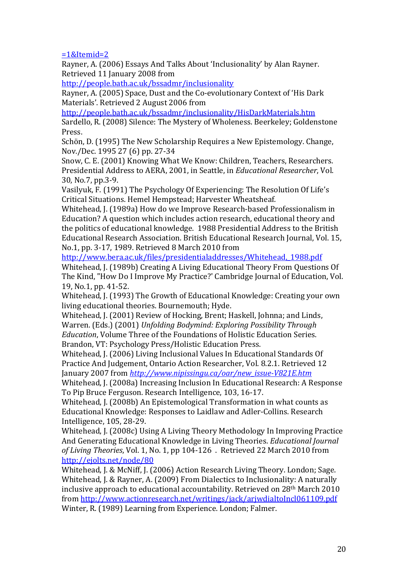#### =1&Itemid=2

Rayner, A. (2006) Essays And Talks About 'Inclusionality' by Alan Rayner. Retrieved 11 January 2008 from

http://people.bath.ac.uk/bssadmr/inclusionality

Rayner, A. (2005) Space, Dust and the Co-evolutionary Context of 'His Dark Materials'. Retrieved 2 August 2006 from

http://people.bath.ac.uk/bssadmr/inclusionality/HisDarkMaterials.htm Sardello, R. (2008) Silence: The Mystery of Wholeness. Beerkeley; Goldenstone Press.

Schön, D. (1995) The New Scholarship Requires a New Epistemology. Change, Nov./Dec. 1995 27 (6) pp. 27-34

Snow, C. E. (2001) Knowing What We Know: Children, Teachers, Researchers. Presidential Address to AERA, 2001, in Seattle, in *Educational Researcher*, Vol. 30, No.7, pp.3-9.

Vasilyuk, F. (1991) The Psychology Of Experiencing: The Resolution Of Life's Critical Situations. Hemel Hempstead: Harvester Wheatsheaf.

Whitehead, J. (1989a) How do we Improve Research-based Professionalism in Education? A question which includes action research, educational theory and the politics of educational knowledge. 1988 Presidential Address to the British Educational Research Association. British Educational Research Journal, Vol. 15, No.1, pp. 3-17, 1989. Retrieved 8 March 2010 from

http://www.bera.ac.uk/files/presidentialaddresses/Whitehead,\_1988.pdf

Whitehead, J. (1989b) Creating A Living Educational Theory From Questions Of The Kind, "How Do I Improve My Practice?' Cambridge Journal of Education, Vol. 19, No.1, pp. 41-52.

Whitehead, J. (1993) The Growth of Educational Knowledge: Creating your own living educational theories. Bournemouth; Hyde.

Whitehead, J. (2001) Review of Hocking, Brent; Haskell, Johnna; and Linds, Warren. (Eds.) (2001) *Unfolding Bodymind: Exploring Possibility Through Education*, Volume Three of the Foundations of Holistic Education Series. Brandon, VT: Psychology Press/Holistic Education Press.

Whitehead, J. (2006) Living Inclusional Values In Educational Standards Of Practice And Judgement, Ontario Action Researcher, Vol. 8.2.1. Retrieved 12 January 2007 from *http://www.nipissingu.ca/oar/new\_issue-V821E.htm* 

Whitehead, J. (2008a) Increasing Inclusion In Educational Research: A Response To Pip Bruce Ferguson. Research Intelligence, 103, 16-17.

Whitehead, J. (2008b) An Epistemological Transformation in what counts as Educational Knowledge: Responses to Laidlaw and Adler-Collins. Research Intelligence, 105, 28-29.

Whitehead, J. (2008c) Using A Living Theory Methodology In Improving Practice And Generating Educational Knowledge in Living Theories. *Educational Journal of Living Theories, Vol. 1, No. 1, pp 104-126. Retrieved 22 March 2010 from* http://ejolts.net/node/80

Whitehead, J. & McNiff, J. (2006) Action Research Living Theory. London; Sage. Whitehead, J. & Rayner, A. (2009) From Dialectics to Inclusionality: A naturally inclusive approach to educational accountability. Retrieved on  $28<sup>th</sup>$  March 2010 from http://www.actionresearch.net/writings/jack/arjwdialtoIncl061109.pdf Winter, R. (1989) Learning from Experience. London; Falmer.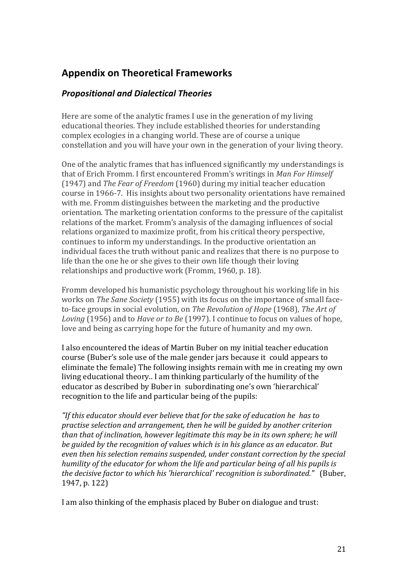# **Appendix on Theoretical Frameworks**

### *Propositional%and%Dialectical%Theories*

Here are some of the analytic frames I use in the generation of my living educational theories. They include established theories for understanding complex ecologies in a changing world. These are of course a unique constellation and you will have your own in the generation of your living theory.

One of the analytic frames that has influenced significantly my understandings is that of Erich Fromm. I first encountered Fromm's writings in *Man For Himself* (1947) and *The Fear of Freedom* (1960) during my initial teacher education course in 1966-7. His insights about two personality orientations have remained with me. Fromm distinguishes between the marketing and the productive orientation. The marketing orientation conforms to the pressure of the capitalist relations of the market. Fromm's analysis of the damaging influences of social relations organized to maximize profit, from his critical theory perspective, continues to inform my understandings. In the productive orientation an individual faces the truth without panic and realizes that there is no purpose to life than the one he or she gives to their own life though their loving relationships and productive work (Fromm, 1960, p. 18).

Fromm developed his humanistic psychology throughout his working life in his works on *The Sane Society* (1955) with its focus on the importance of small faceto-face groups in social evolution, on *The Revolution of Hope* (1968), *The Art of Loving* (1956) and to *Have or to Be* (1997). I continue to focus on values of hope, love and being as carrying hope for the future of humanity and my own.

I also encountered the ideas of Martin Buber on my initial teacher education course (Buber's sole use of the male gender jars because it could appears to eliminate the female) The following insights remain with me in creating my own living educational theory.. I am thinking particularly of the humility of the educator as described by Buber in subordinating one's own 'hierarchical' recognition to the life and particular being of the pupils:

*"If,this,educator,should,ever,believe,that,for,the,sake,of,education,he,,has,to, practise selection and arrangement, then he will be quided by another criterion than,that of inclination, however, legitimate this may be in its own sphere; he will be,guided,by,the,recognition,of,values,which,is,in,his,glance,as,an,educator.,But, even then his selection remains suspended, under constant correction by the special humility,of,the,educator,for,whom,the,life,and,particular,being,of,all,his,pupils,is, the,decisive factor to which his 'hierarchical' recognition is subordinated."* (Buber, 1947, p. 122)

I am also thinking of the emphasis placed by Buber on dialogue and trust: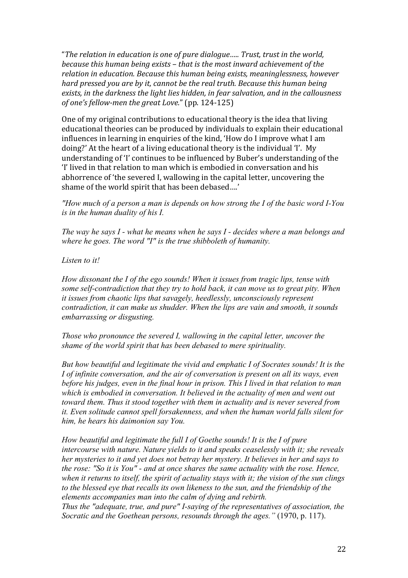"The relation in education is one of pure dialogue....., Trust, trust in the world, *because this human being exists – that is the most inward achievement of the* relation in education. Because this human being exists, meaninglessness, however *hard pressed you are by it, cannot be the real truth. Because this human being exists, in the darkness the light lies hidden, in fear salvation, and in the callousness of one's fellow-men the great Love."* (pp. 124-125)

One of my original contributions to educational theory is the idea that living educational theories can be produced by individuals to explain their educational influences in learning in enquiries of the kind, 'How do I improve what I am doing?' At the heart of a living educational theory is the individual 'I'. My understanding of 'I' continues to be influenced by Buber's understanding of the 'I' lived in that relation to man which is embodied in conversation and his abhorrence of 'the severed I, wallowing in the capital letter, uncovering the shame of the world spirit that has been debased....'

*"How much of a person a man is depends on how strong the I of the basic word I-You is in the human duality of his I.*

*The way he says I - what he means when he says I - decides where a man belongs and where he goes. The word "I" is the true shibboleth of humanity.*

*Listen to it!*

*How dissonant the I of the ego sounds! When it issues from tragic lips, tense with some self-contradiction that they try to hold back, it can move us to great pity. When it issues from chaotic lips that savagely, heedlessly, unconsciously represent contradiction, it can make us shudder. When the lips are vain and smooth, it sounds embarrassing or disgusting.*

*Those who pronounce the severed I, wallowing in the capital letter, uncover the shame of the world spirit that has been debased to mere spirituality.*

*But how beautiful and legitimate the vivid and emphatic I of Socrates sounds! It is the I of infinite conversation, and the air of conversation is present on all its ways, even before his judges, even in the final hour in prison. This I lived in that relation to man*  which is embodied in conversation. It believed in the actuality of men and went out *toward them. Thus it stood together with them in actuality and is never severed from it. Even solitude cannot spell forsakenness, and when the human world falls silent for him, he hears his daimonion say You.*

*How beautiful and legitimate the full I of Goethe sounds! It is the I of pure intercourse with nature. Nature yields to it and speaks ceaselessly with it; she reveals her mysteries to it and yet does not betray her mystery. It believes in her and says to the rose: "So it is You" - and at once shares the same actuality with the rose. Hence, when it returns to itself, the spirit of actuality stays with it; the vision of the sun clings to the blessed eye that recalls its own likeness to the sun, and the friendship of the elements accompanies man into the calm of dying and rebirth. Thus the "adequate, true, and pure" I-saying of the representatives of association, the Socratic and the Goethean persons, resounds through the ages."* (1970, p. 117).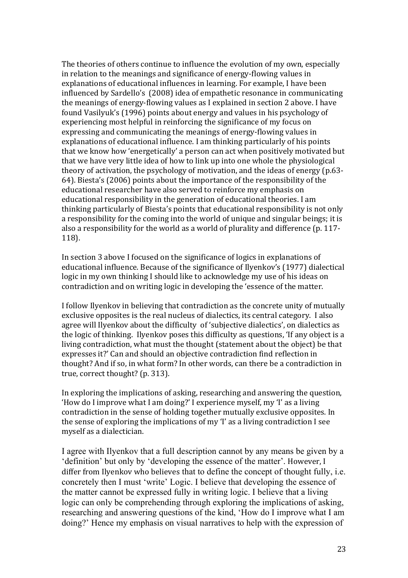The theories of others continue to influence the evolution of my own, especially in relation to the meanings and significance of energy-flowing values in explanations of educational influences in learning. For example, I have been influenced by Sardello's (2008) idea of empathetic resonance in communicating the meanings of energy-flowing values as I explained in section 2 above. I have found Vasilyuk's (1996) points about energy and values in his psychology of experiencing most helpful in reinforcing the significance of my focus on expressing and communicating the meanings of energy-flowing values in explanations of educational influence. I am thinking particularly of his points that we know how 'energetically' a person can act when positively motivated but that we have very little idea of how to link up into one whole the physiological theory of activation, the psychology of motivation, and the ideas of energy (p.63-64). Biesta's (2006) points about the importance of the responsibility of the educational researcher have also served to reinforce my emphasis on educational responsibility in the generation of educational theories. I am thinking particularly of Biesta's points that educational responsibility is not only a responsibility for the coming into the world of unique and singular beings; it is also a responsibility for the world as a world of plurality and difference (p. 117-118).

In section 3 above I focused on the significance of logics in explanations of educational influence. Because of the significance of Ilyenkov's (1977) dialectical logic in my own thinking I should like to acknowledge my use of his ideas on contradiction and on writing logic in developing the 'essence of the matter.

I follow Ilyenkov in believing that contradiction as the concrete unity of mutually exclusive opposites is the real nucleus of dialectics, its central category. I also agree will Ilyenkov about the difficulty of 'subjective dialectics', on dialectics as the logic of thinking. Ilyenkov poses this difficulty as questions, 'If any object is a living contradiction, what must the thought (statement about the object) be that expresses it?' Can and should an objective contradiction find reflection in thought? And if so, in what form? In other words, can there be a contradiction in true, correct thought? (p. 313).

In exploring the implications of asking, researching and answering the question, 'How do I improve what I am doing?' I experience myself, my 'I' as a living contradiction in the sense of holding together mutually exclusive opposites. In the sense of exploring the implications of my 'I' as a living contradiction I see myself as a dialectician.

I agree with Ilyenkov that a full description cannot by any means be given by a 'definition' but only by 'developing the essence of the matter'. However, I differ from Ilyenkov who believes that to define the concept of thought fully, i.e. concretely then I must 'write' Logic. I believe that developing the essence of the matter cannot be expressed fully in writing logic. I believe that a living logic can only be comprehending through exploring the implications of asking, researching and answering questions of the kind, 'How do I improve what I am doing?' Hence my emphasis on visual narratives to help with the expression of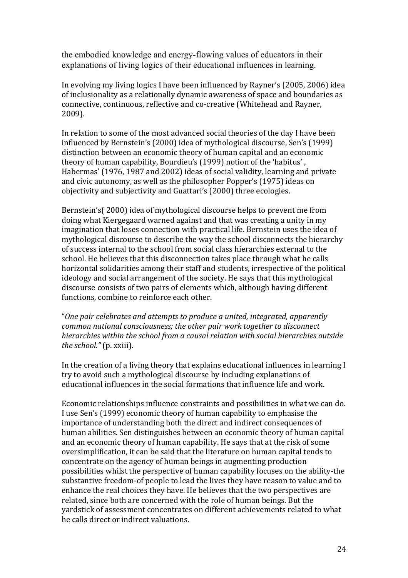the embodied knowledge and energy-flowing values of educators in their explanations of living logics of their educational influences in learning.

In evolving my living logics I have been influenced by Rayner's (2005, 2006) idea of inclusionality as a relationally dynamic awareness of space and boundaries as connective, continuous, reflective and co-creative (Whitehead and Rayner, 2009).

In relation to some of the most advanced social theories of the day I have been influenced by Bernstein's (2000) idea of mythological discourse, Sen's (1999). distinction between an economic theory of human capital and an economic theory of human capability, Bourdieu's (1999) notion of the 'habitus', Habermas' (1976, 1987 and 2002) ideas of social validity, learning and private and civic autonomy, as well as the philosopher Popper's (1975) ideas on objectivity and subjectivity and Guattari's (2000) three ecologies.

Bernstein's(2000) idea of mythological discourse helps to prevent me from doing what Kiergegaard warned against and that was creating a unity in my imagination that loses connection with practical life. Bernstein uses the idea of mythological discourse to describe the way the school disconnects the hierarchy of success internal to the school from social class hierarchies external to the school. He believes that this disconnection takes place through what he calls horizontal solidarities among their staff and students, irrespective of the political ideology and social arrangement of the society. He says that this mythological discourse consists of two pairs of elements which, although having different functions, combine to reinforce each other.

"*One,pair,celebrates,and,attempts,to,produce,a,united,,integrated,,apparently, common national consciousness; the other pair work together to disconnect hierarchies,within,the,school,from,a,causal,relation,with,social,hierarchies,outside, the school."* (p. xxiii).

In the creation of a living theory that explains educational influences in learning I try to avoid such a mythological discourse by including explanations of educational influences in the social formations that influence life and work.

Economic relationships influence constraints and possibilities in what we can do. I use Sen's (1999) economic theory of human capability to emphasise the importance of understanding both the direct and indirect consequences of human abilities. Sen distinguishes between an economic theory of human capital and an economic theory of human capability. He says that at the risk of some oversimplification, it can be said that the literature on human capital tends to concentrate on the agency of human beings in augmenting production possibilities whilst the perspective of human capability focuses on the ability-the substantive freedom-of people to lead the lives they have reason to value and to enhance the real choices they have. He believes that the two perspectives are related, since both are concerned with the role of human beings. But the yardstick of assessment concentrates on different achievements related to what he calls direct or indirect valuations.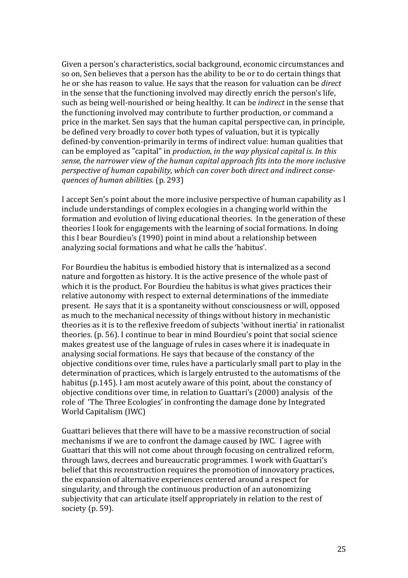Given a person's characteristics, social background, economic circumstances and so on, Sen believes that a person has the ability to be or to do certain things that he or she has reason to value. He says that the reason for valuation can be *direct* in the sense that the functioning involved may directly enrich the person's life, such as being well-nourished or being healthy. It can be *indirect* in the sense that the functioning involved may contribute to further production, or command a price in the market. Sen says that the human capital perspective can, in principle, be defined very broadly to cover both types of valuation, but it is typically defined-by convention-primarily in terms of indirect value: human qualities that can be employed as "capital" in *production, in the way physical capital is. In this sense, the narrower view of the human capital approach fits into the more inclusive perspective of human capability, which can cover both direct and indirect consequences of human abilities.* (p. 293)

I accept Sen's point about the more inclusive perspective of human capability as I include understandings of complex ecologies in a changing world within the formation and evolution of living educational theories. In the generation of these theories I look for engagements with the learning of social formations. In doing this I bear Bourdieu's (1990) point in mind about a relationship between analyzing social formations and what he calls the 'habitus'.

For Bourdieu the habitus is embodied history that is internalized as a second nature and forgotten as history. It is the active presence of the whole past of which it is the product. For Bourdieu the habitus is what gives practices their relative autonomy with respect to external determinations of the immediate present. He says that it is a spontaneity without consciousness or will, opposed as much to the mechanical necessity of things without history in mechanistic theories as it is to the reflexive freedom of subjects 'without inertia' in rationalist theories. (p. 56). I continue to bear in mind Bourdieu's point that social science makes greatest use of the language of rules in cases where it is inadequate in analysing social formations. He says that because of the constancy of the objective conditions over time, rules have a particularly small part to play in the determination of practices, which is largely entrusted to the automatisms of the habitus (p.145). I am most acutely aware of this point, about the constancy of objective conditions over time, in relation to Guattari's (2000) analysis of the role of "The Three Ecologies' in confronting the damage done by Integrated World Capitalism (IWC)

Guattari believes that there will have to be a massive reconstruction of social mechanisms if we are to confront the damage caused by IWC. I agree with Guattari that this will not come about through focusing on centralized reform, through laws, decrees and bureaucratic programmes. I work with Guattari's belief that this reconstruction requires the promotion of innovatory practices, the expansion of alternative experiences centered around a respect for singularity, and through the continuous production of an autonomizing subjectivity that can articulate itself appropriately in relation to the rest of society (p. 59).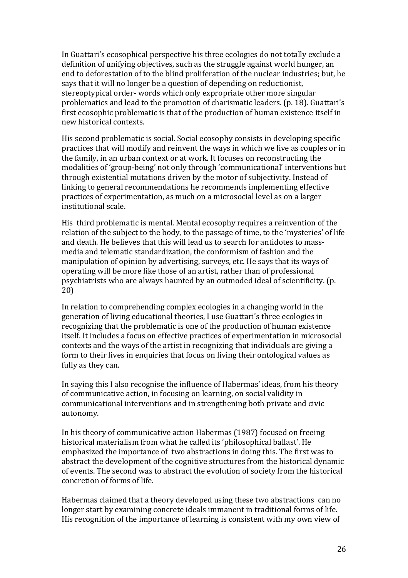In Guattari's ecosophical perspective his three ecologies do not totally exclude a definition of unifying objectives, such as the struggle against world hunger, an end to deforestation of to the blind proliferation of the nuclear industries; but, he says that it will no longer be a question of depending on reductionist, stereoptypical order-words which only expropriate other more singular problematics and lead to the promotion of charismatic leaders. (p. 18). Guattari's first ecosophic problematic is that of the production of human existence itself in new historical contexts.

His second problematic is social. Social ecosophy consists in developing specific practices that will modify and reinvent the ways in which we live as couples or in the family, in an urban context or at work. It focuses on reconstructing the modalities of 'group-being' not only through 'communicational' interventions but through existential mutations driven by the motor of subjectivity. Instead of linking to general recommendations he recommends implementing effective practices of experimentation, as much on a microsocial level as on a larger institutional scale.

His third problematic is mental. Mental ecosophy requires a reinvention of the relation of the subject to the body, to the passage of time, to the 'mysteries' of life and death. He believes that this will lead us to search for antidotes to massmedia and telematic standardization, the conformism of fashion and the manipulation of opinion by advertising, surveys, etc. He says that its ways of operating will be more like those of an artist, rather than of professional psychiatrists who are always haunted by an outmoded ideal of scientificity. (p. 20)

In relation to comprehending complex ecologies in a changing world in the generation of living educational theories, I use Guattari's three ecologies in recognizing that the problematic is one of the production of human existence itself. It includes a focus on effective practices of experimentation in microsocial contexts and the ways of the artist in recognizing that individuals are giving a form to their lives in enquiries that focus on living their ontological values as fully as they can.

In saying this I also recognise the influence of Habermas' ideas, from his theory of communicative action, in focusing on learning, on social validity in communicational interventions and in strengthening both private and civic autonomy.

In his theory of communicative action Habermas (1987) focused on freeing historical materialism from what he called its 'philosophical ballast'. He emphasized the importance of two abstractions in doing this. The first was to abstract the development of the cognitive structures from the historical dynamic of events. The second was to abstract the evolution of society from the historical concretion of forms of life

Habermas claimed that a theory developed using these two abstractions can no longer start by examining concrete ideals immanent in traditional forms of life. His recognition of the importance of learning is consistent with my own view of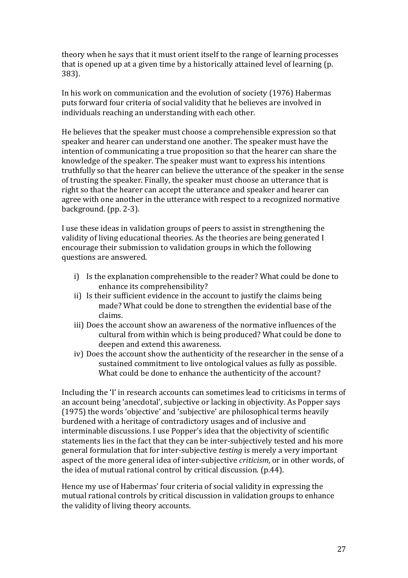theory when he says that it must orient itself to the range of learning processes that is opened up at a given time by a historically attained level of learning (p. 383).

In his work on communication and the evolution of society (1976) Habermas puts forward four criteria of social validity that he believes are involved in individuals reaching an understanding with each other.

He believes that the speaker must choose a comprehensible expression so that speaker and hearer can understand one another. The speaker must have the intention of communicating a true proposition so that the hearer can share the knowledge of the speaker. The speaker must want to express his intentions truthfully so that the hearer can believe the utterance of the speaker in the sense of trusting the speaker. Finally, the speaker must choose an utterance that is right so that the hearer can accept the utterance and speaker and hearer can agree with one another in the utterance with respect to a recognized normative background. (pp.  $2-3$ ).

I use these ideas in validation groups of peers to assist in strengthening the validity of living educational theories. As the theories are being generated I encourage their submission to validation groups in which the following questions are answered.

- i) Is the explanation comprehensible to the reader? What could be done to  $\overline{a}$ enhance its comprehensibility?
- ii) Is their sufficient evidence in the account to justify the claims being made? What could be done to strengthen the evidential base of the claims.
- iii) Does the account show an awareness of the normative influences of the cultural from within which is being produced? What could be done to deepen and extend this awareness.
- iv) Does the account show the authenticity of the researcher in the sense of a sustained commitment to live ontological values as fully as possible. What could be done to enhance the authenticity of the account?

Including the 'I' in research accounts can sometimes lead to criticisms in terms of an account being 'anecdotal', subjective or lacking in objectivity. As Popper says  $(1975)$  the words 'objective' and 'subjective' are philosophical terms heavily burdened with a heritage of contradictory usages and of inclusive and interminable discussions. I use Popper's idea that the objectivity of scientific statements lies in the fact that they can be inter-subjectively tested and his more general formulation that for inter-subjective *testing* is merely a very important aspect of the more general idea of inter-subjective *criticism*, or in other words, of the idea of mutual rational control by critical discussion. (p.44).

Hence my use of Habermas' four criteria of social validity in expressing the mutual rational controls by critical discussion in validation groups to enhance the validity of living theory accounts.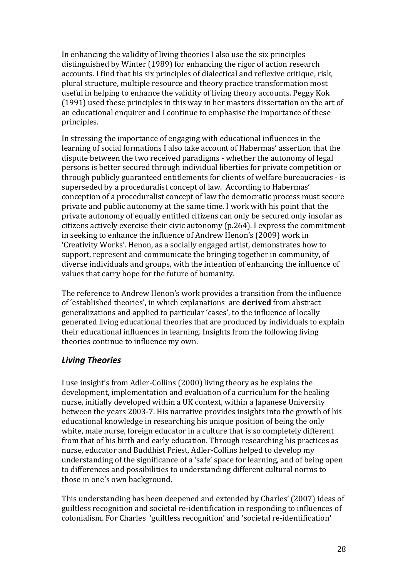In enhancing the validity of living theories I also use the six principles distinguished by Winter (1989) for enhancing the rigor of action research accounts. I find that his six principles of dialectical and reflexive critique, risk, plural structure, multiple resource and theory practice transformation most useful in helping to enhance the validity of living theory accounts. Peggy Kok  $(1991)$  used these principles in this way in her masters dissertation on the art of an educational enquirer and I continue to emphasise the importance of these principles.

In stressing the importance of engaging with educational influences in the learning of social formations I also take account of Habermas' assertion that the dispute between the two received paradigms - whether the autonomy of legal persons is better secured through individual liberties for private competition or through publicly guaranteed entitlements for clients of welfare bureaucracies - is superseded by a proceduralist concept of law. According to Habermas' conception of a proceduralist concept of law the democratic process must secure private and public autonomy at the same time. I work with his point that the private autonomy of equally entitled citizens can only be secured only insofar as citizens actively exercise their civic autonomy ( $p.264$ ). I express the commitment in seeking to enhance the influence of Andrew Henon's (2009) work in 'Creativity Works'. Henon, as a socially engaged artist, demonstrates how to support, represent and communicate the bringing together in community, of diverse individuals and groups, with the intention of enhancing the influence of values that carry hope for the future of humanity.

The reference to Andrew Henon's work provides a transition from the influence of 'established theories', in which explanations are **derived** from abstract generalizations and applied to particular 'cases', to the influence of locally generated living educational theories that are produced by individuals to explain their educational influences in learning. Insights from the following living theories continue to influence my own.

### *Living%Theories*

I use insight's from Adler-Collins (2000) living theory as he explains the development, implementation and evaluation of a curriculum for the healing nurse, initially developed within a UK context, within a Japanese University between the years 2003-7. His narrative provides insights into the growth of his educational knowledge in researching his unique position of being the only white, male nurse, foreign educator in a culture that is so completely different from that of his birth and early education. Through researching his practices as nurse, educator and Buddhist Priest, Adler-Collins helped to develop my understanding of the significance of a 'safe' space for learning, and of being open to differences and possibilities to understanding different cultural norms to those in one's own background.

This understanding has been deepened and extended by Charles' (2007) ideas of guiltless recognition and societal re-identification in responding to influences of colonialism. For Charles 'guiltless recognition' and 'societal re-identification'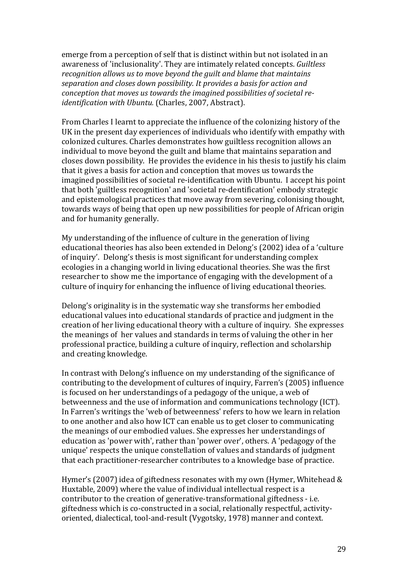emerge from a perception of self that is distinct within but not isolated in an awareness of 'inclusionality'. They are intimately related concepts. *Guiltless recognition,allows,us,to,move,beyond,the,guilt,and,blame,that,maintains, separation and closes down possibility. It provides a basis for action and conception that moves us towards the imagined possibilities of societal reidentification with Ubuntu.* (Charles, 2007, Abstract).

From Charles I learnt to appreciate the influence of the colonizing history of the UK in the present day experiences of individuals who identify with empathy with colonized cultures. Charles demonstrates how guiltless recognition allows an individual to move beyond the guilt and blame that maintains separation and closes down possibility. He provides the evidence in his thesis to justify his claim that it gives a basis for action and conception that moves us towards the imagined possibilities of societal re-identification with Ubuntu. I accept his point that both 'guiltless recognition' and 'societal re-dentification' embody strategic and epistemological practices that move away from severing, colonising thought, towards ways of being that open up new possibilities for people of African origin and for humanity generally.

My understanding of the influence of culture in the generation of living educational theories has also been extended in Delong's (2002) idea of a 'culture of inquiry'. Delong's thesis is most significant for understanding complex ecologies in a changing world in living educational theories. She was the first researcher to show me the importance of engaging with the development of a culture of inquiry for enhancing the influence of living educational theories.

Delong's originality is in the systematic way she transforms her embodied educational values into educational standards of practice and judgment in the creation of her living educational theory with a culture of inquiry. She expresses the meanings of her values and standards in terms of valuing the other in her professional practice, building a culture of inquiry, reflection and scholarship and creating knowledge.

In contrast with Delong's influence on my understanding of the significance of contributing to the development of cultures of inquiry, Farren's (2005) influence is focused on her understandings of a pedagogy of the unique, a web of betweenness and the use of information and communications technology (ICT). In Farren's writings the 'web of betweenness' refers to how we learn in relation to one another and also how ICT can enable us to get closer to communicating the meanings of our embodied values. She expresses her understandings of education as 'power with', rather than 'power over', others. A 'pedagogy of the unique' respects the unique constellation of values and standards of judgment that each practitioner-researcher contributes to a knowledge base of practice.

Hymer's (2007) idea of giftedness resonates with my own (Hymer, Whitehead & Huxtable, 2009) where the value of individual intellectual respect is a contributor to the creation of generative-transformational giftedness - i.e. giftedness which is co-constructed in a social, relationally respectful, activityoriented, dialectical, tool-and-result (Vygotsky, 1978) manner and context.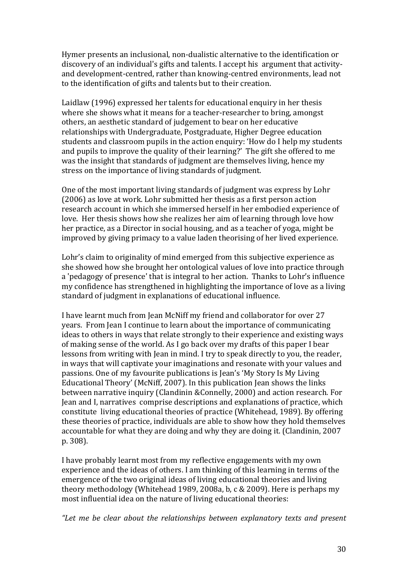Hymer presents an inclusional, non-dualistic alternative to the identification or discovery of an individual's gifts and talents. I accept his argument that activityand development-centred, rather than knowing-centred environments, lead not to the identification of gifts and talents but to their creation.

Laidlaw (1996) expressed her talents for educational enquiry in her thesis where she shows what it means for a teacher-researcher to bring, amongst others, an aesthetic standard of judgement to bear on her educative relationships with Undergraduate, Postgraduate, Higher Degree education students and classroom pupils in the action enquiry: 'How do I help my students and pupils to improve the quality of their learning?' The gift she offered to me was the insight that standards of judgment are themselves living, hence my stress on the importance of living standards of judgment.

One of the most important living standards of judgment was express by Lohr (2006) as love at work. Lohr submitted her thesis as a first person action research account in which she immersed herself in her embodied experience of love. Her thesis shows how she realizes her aim of learning through love how her practice, as a Director in social housing, and as a teacher of yoga, might be improved by giving primacy to a value laden theorising of her lived experience.

Lohr's claim to originality of mind emerged from this subjective experience as she showed how she brought her ontological values of love into practice through a 'pedagogy of presence' that is integral to her action. Thanks to Lohr's influence my confidence has strengthened in highlighting the importance of love as a living standard of judgment in explanations of educational influence.

I have learnt much from Jean McNiff my friend and collaborator for over 27 years. From Jean I continue to learn about the importance of communicating ideas to others in ways that relate strongly to their experience and existing ways of making sense of the world. As I go back over my drafts of this paper I bear lessons from writing with Jean in mind. I try to speak directly to you, the reader, in ways that will captivate your imaginations and resonate with your values and passions. One of my favourite publications is Jean's 'My Story Is My Living Educational Theory' (McNiff, 2007). In this publication Jean shows the links between narrative inquiry (Clandinin &Connelly, 2000) and action research. For Jean and I, narratives comprise descriptions and explanations of practice, which constitute living educational theories of practice (Whitehead, 1989). By offering these theories of practice, individuals are able to show how they hold themselves accountable for what they are doing and why they are doing it. (Clandinin, 2007) p. 308).

I have probably learnt most from my reflective engagements with my own experience and the ideas of others. I am thinking of this learning in terms of the emergence of the two original ideas of living educational theories and living theory methodology (Whitehead 1989, 2008a, b, c & 2009). Here is perhaps my most influential idea on the nature of living educational theories:

*"Let, me, be, clear, about, the, relationships, between, explanatory, texts, and, present,*